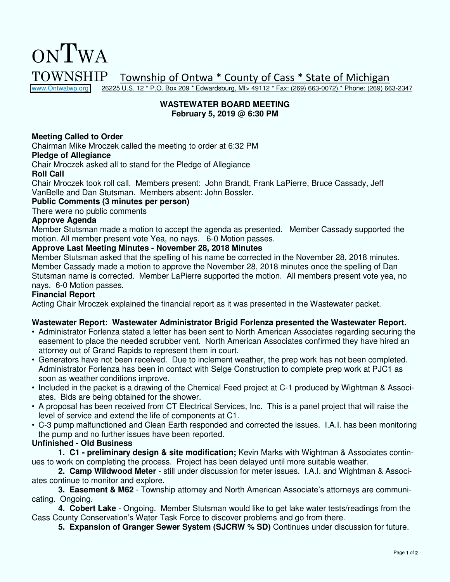[www.Ontwatwp.org](http://www.ontwatwp.org/) 26225 U.S. 12 \* P.O. Box 209 \* Edwardsburg, MI> 49112 \* Fax: (269) 663-0072) \* Phone: (269) 663-2347

#### **WASTEWATER BOARD MEETING February 5, 2019 @ 6:30 PM**

#### **Meeting Called to Order**

Chairman Mike Mroczek called the meeting to order at 6:32 PM

#### **Pledge of Allegiance**

Chair Mroczek asked all to stand for the Pledge of Allegiance

#### **Roll Call**

Chair Mroczek took roll call. Members present: John Brandt, Frank LaPierre, Bruce Cassady, Jeff VanBelle and Dan Stutsman. Members absent: John Bossler.

#### **Public Comments (3 minutes per person)**

There were no public comments

#### **Approve Agenda**

Member Stutsman made a motion to accept the agenda as presented. Member Cassady supported the motion. All member present vote Yea, no nays. 6-0 Motion passes.

#### **Approve Last Meeting Minutes - November 28, 2018 Minutes**

Member Stutsman asked that the spelling of his name be corrected in the November 28, 2018 minutes. Member Cassady made a motion to approve the November 28, 2018 minutes once the spelling of Dan Stutsman name is corrected. Member LaPierre supported the motion. All members present vote yea, no nays. 6-0 Motion passes.

#### **Financial Report**

Acting Chair Mroczek explained the financial report as it was presented in the Wastewater packet.

#### **Wastewater Report: Wastewater Administrator Brigid Forlenza presented the Wastewater Report.**

- Administrator Forlenza stated a letter has been sent to North American Associates regarding securing the easement to place the needed scrubber vent. North American Associates confirmed they have hired an attorney out of Grand Rapids to represent them in court.
- Generators have not been received. Due to inclement weather, the prep work has not been completed. Administrator Forlenza has been in contact with Selge Construction to complete prep work at PJC1 as soon as weather conditions improve.
- Included in the packet is a drawing of the Chemical Feed project at C-1 produced by Wightman & Associates. Bids are being obtained for the shower.
- A proposal has been received from CT Electrical Services, Inc. This is a panel project that will raise the level of service and extend the life of components at C1.
- C-3 pump malfunctioned and Clean Earth responded and corrected the issues. I.A.I. has been monitoring the pump and no further issues have been reported.

#### **Unfinished - Old Business**

**1. C1 - preliminary design & site modification;** Kevin Marks with Wightman & Associates continues to work on completing the process. Project has been delayed until more suitable weather.

**2. Camp Wildwood Meter** - still under discussion for meter issues. I.A.I. and Wightman & Associates continue to monitor and explore.

**3. Easement & M62** - Township attorney and North American Associate's attorneys are communicating. Ongoing.

**4. Cobert Lake** - Ongoing. Member Stutsman would like to get lake water tests/readings from the Cass County Conservation's Water Task Force to discover problems and go from there.

**5. Expansion of Granger Sewer System (SJCRW % SD)** Continues under discussion for future.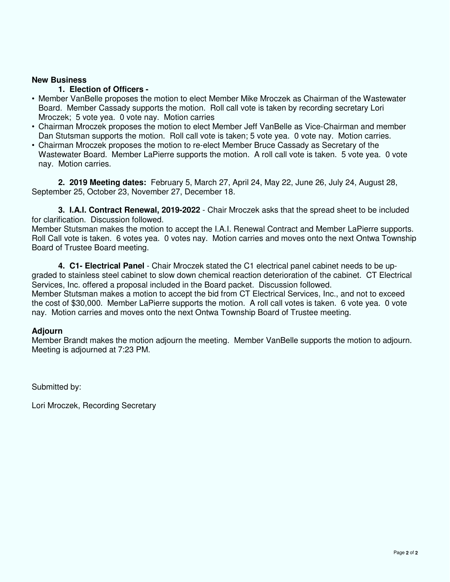#### **1. Election of Officers -**

- Member VanBelle proposes the motion to elect Member Mike Mroczek as Chairman of the Wastewater Board. Member Cassady supports the motion. Roll call vote is taken by recording secretary Lori Mroczek; 5 vote yea. 0 vote nay. Motion carries
- Chairman Mroczek proposes the motion to elect Member Jeff VanBelle as Vice-Chairman and member Dan Stutsman supports the motion. Roll call vote is taken; 5 vote yea. 0 vote nay. Motion carries.
- Chairman Mroczek proposes the motion to re-elect Member Bruce Cassady as Secretary of the Wastewater Board. Member LaPierre supports the motion. A roll call vote is taken. 5 vote yea. 0 vote nay. Motion carries.

**2. 2019 Meeting dates:** February 5, March 27, April 24, May 22, June 26, July 24, August 28, September 25, October 23, November 27, December 18.

**3. I.A.I. Contract Renewal, 2019-2022** - Chair Mroczek asks that the spread sheet to be included for clarification. Discussion followed.

Member Stutsman makes the motion to accept the I.A.I. Renewal Contract and Member LaPierre supports. Roll Call vote is taken. 6 votes yea. 0 votes nay. Motion carries and moves onto the next Ontwa Township Board of Trustee Board meeting.

**4. C1- Electrical Panel** - Chair Mroczek stated the C1 electrical panel cabinet needs to be upgraded to stainless steel cabinet to slow down chemical reaction deterioration of the cabinet. CT Electrical Services, Inc. offered a proposal included in the Board packet. Discussion followed. Member Stutsman makes a motion to accept the bid from CT Electrical Services, Inc., and not to exceed the cost of \$30,000. Member LaPierre supports the motion. A roll call votes is taken. 6 vote yea. 0 vote nay. Motion carries and moves onto the next Ontwa Township Board of Trustee meeting.

#### **Adjourn**

Member Brandt makes the motion adjourn the meeting. Member VanBelle supports the motion to adjourn. Meeting is adjourned at 7:23 PM.

Submitted by: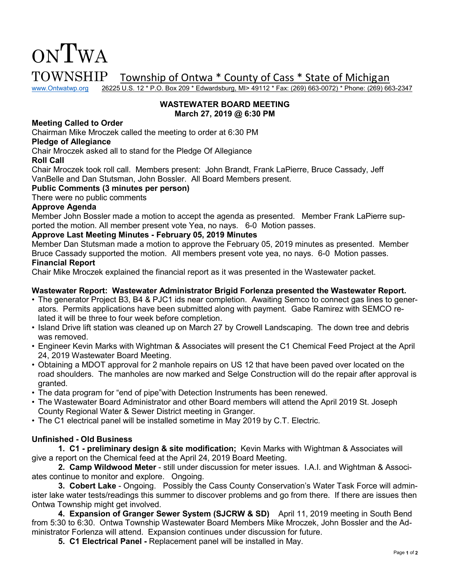

www.Ontwatwp.org 26225 U.S. 12 \* P.O. Box 209 \* Edwardsburg, MI> 49112 \* Fax: (269) 663-0072) \* Phone: (269) 663-2347

#### **WASTEWATER BOARD MEETING March 27, 2019 @ 6:30 PM**

#### **Meeting Called to Order**

Chairman Mike Mroczek called the meeting to order at 6:30 PM

#### **Pledge of Allegiance**

Chair Mroczek asked all to stand for the Pledge Of Allegiance

#### **Roll Call**

Chair Mroczek took roll call. Members present: John Brandt, Frank LaPierre, Bruce Cassady, Jeff VanBelle and Dan Stutsman, John Bossler. All Board Members present.

#### **Public Comments (3 minutes per person)**

There were no public comments

#### **Approve Agenda**

Member John Bossler made a motion to accept the agenda as presented. Member Frank LaPierre supported the motion. All member present vote Yea, no nays. 6-0 Motion passes.

#### **Approve Last Meeting Minutes - February 05, 2019 Minutes**

Member Dan Stutsman made a motion to approve the February 05, 2019 minutes as presented. Member Bruce Cassady supported the motion. All members present vote yea, no nays. 6-0 Motion passes.

#### **Financial Report**

Chair Mike Mroczek explained the financial report as it was presented in the Wastewater packet.

#### **Wastewater Report: Wastewater Administrator Brigid Forlenza presented the Wastewater Report.**

- The generator Project B3, B4 & PJC1 ids near completion. Awaiting Semco to connect gas lines to generators. Permits applications have been submitted along with payment. Gabe Ramirez with SEMCO related it will be three to four week before completion.
- Island Drive lift station was cleaned up on March 27 by Crowell Landscaping. The down tree and debris was removed.
- Engineer Kevin Marks with Wightman & Associates will present the C1 Chemical Feed Project at the April 24, 2019 Wastewater Board Meeting.
- Obtaining a MDOT approval for 2 manhole repairs on US 12 that have been paved over located on the road shoulders. The manholes are now marked and Selge Construction will do the repair after approval is granted.
- The data program for "end of pipe"with Detection Instruments has been renewed.
- The Wastewater Board Administrator and other Board members will attend the April 2019 St. Joseph County Regional Water & Sewer District meeting in Granger.
- The C1 electrical panel will be installed sometime in May 2019 by C.T. Electric.

#### **Unfinished - Old Business**

 **1. C1 - preliminary design & site modification;** Kevin Marks with Wightman & Associates will give a report on the Chemical feed at the April 24, 2019 Board Meeting.

**2. Camp Wildwood Meter** - still under discussion for meter issues. I.A.I. and Wightman & Associates continue to monitor and explore. Ongoing.

**3. Cobert Lake** - Ongoing. Possibly the Cass County Conservation's Water Task Force will administer lake water tests/readings this summer to discover problems and go from there. If there are issues then Ontwa Township might get involved.

**4. Expansion of Granger Sewer System (SJCRW & SD)** April 11, 2019 meeting in South Bend from 5:30 to 6:30. Ontwa Township Wastewater Board Members Mike Mroczek, John Bossler and the Administrator Forlenza will attend. Expansion continues under discussion for future.

**5. C1 Electrical Panel -** Replacement panel will be installed in May.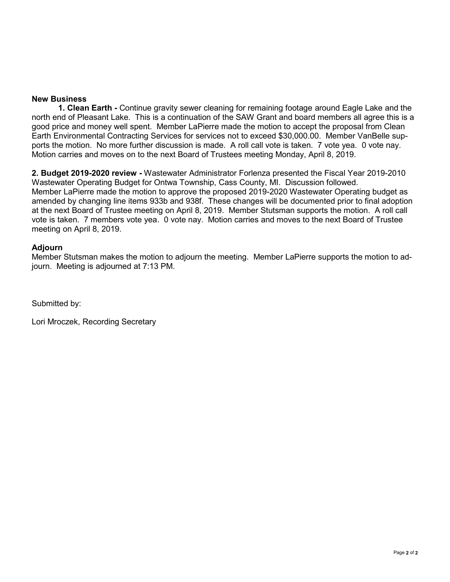**1. Clean Earth -** Continue gravity sewer cleaning for remaining footage around Eagle Lake and the north end of Pleasant Lake. This is a continuation of the SAW Grant and board members all agree this is a good price and money well spent. Member LaPierre made the motion to accept the proposal from Clean Earth Environmental Contracting Services for services not to exceed \$30,000.00. Member VanBelle supports the motion. No more further discussion is made. A roll call vote is taken. 7 vote yea. 0 vote nay. Motion carries and moves on to the next Board of Trustees meeting Monday, April 8, 2019.

**2. Budget 2019-2020 review -** Wastewater Administrator Forlenza presented the Fiscal Year 2019-2010 Wastewater Operating Budget for Ontwa Township, Cass County, MI. Discussion followed. Member LaPierre made the motion to approve the proposed 2019-2020 Wastewater Operating budget as amended by changing line items 933b and 938f. These changes will be documented prior to final adoption at the next Board of Trustee meeting on April 8, 2019. Member Stutsman supports the motion. A roll call vote is taken. 7 members vote yea. 0 vote nay. Motion carries and moves to the next Board of Trustee meeting on April 8, 2019.

#### **Adjourn**

Member Stutsman makes the motion to adjourn the meeting. Member LaPierre supports the motion to adjourn. Meeting is adjourned at 7:13 PM.

Submitted by: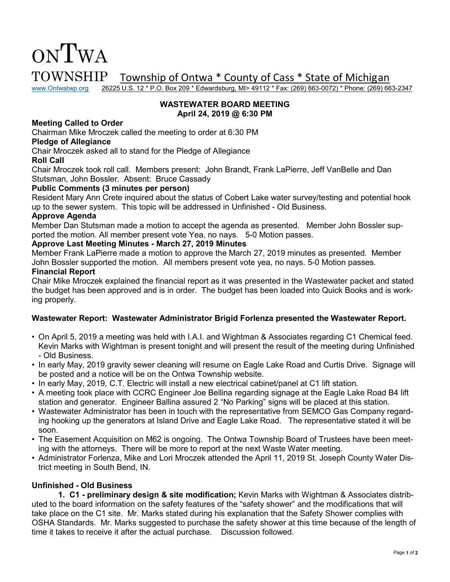

www.Ontwatwp.org 26225 U.S. 12 \* P.O. Box 209 \* Edwardsburg, MI> 49112 \* Fax: (269) 663-0072) \* Phone: (269) 663-2347

#### **WASTEWATER BOARD MEETING April 24, 2019 @ 6:30 PM**

#### **Meeting Called to Order**

Chairman Mike Mroczek called the meeting to order at 6:30 PM

#### **Pledge of Allegiance**

Chair Mroczek asked all to stand for the Pledge of Allegiance

#### **Roll Call**

Chair Mroczek took roll call. Members present: John Brandt, Frank LaPierre, Jeff VanBelle and Dan Stutsman, John Bossler. Absent: Bruce Cassady

#### **Public Comments (3 minutes per person)**

Resident Mary Ann Crete inquired about the status of Cobert Lake water survey/testing and potential hook up to the sewer system. This topic will be addressed in Unfinished - Old Business.

#### **Approve Agenda**

Member Dan Stutsman made a motion to accept the agenda as presented. Member John Bossler supported the motion. All member present vote Yea, no nays. 5-0 Motion passes.

#### **Approve Last Meeting Minutes - March 27, 2019 Minutes**

Member Frank LaPierre made a motion to approve the March 27, 2019 minutes as presented. Member John Bossler supported the motion. All members present vote yea, no nays. 5-0 Motion passes.

#### **Financial Report**

Chair Mike Mroczek explained the financial report as it was presented in the Wastewater packet and stated the budget has been approved and is in order. The budget has been loaded into Quick Books and is working properly.

#### **Wastewater Report: Wastewater Administrator Brigid Forlenza presented the Wastewater Report.**

- On April 5, 2019 a meeting was held with I.A.I. and Wightman & Associates regarding C1 Chemical feed. Kevin Marks with Wightman is present tonight and will present the result of the meeting during Unfinished - Old Business.
- In early May, 2019 gravity sewer cleaning will resume on Eagle Lake Road and Curtis Drive. Signage will be posted and a notice will be on the Ontwa Township website.
- In early May, 2019, C.T. Electric will install a new electrical cabinet/panel at C1 lift station.
- A meeting took place with CCRC Engineer Joe Bellina regarding signage at the Eagle Lake Road B4 lift station and generator. Engineer Ballina assured 2 "No Parking" signs will be placed at this station.
- Wastewater Administrator has been in touch with the representative from SEMCO Gas Company regarding hooking up the generators at Island Drive and Eagle Lake Road. The representative stated it will be soon.
- The Easement Acquisition on M62 is ongoing. The Ontwa Township Board of Trustees have been meeting with the attorneys. There will be more to report at the next Waste Water meeting.
- Administrator Forlenza, Mike and Lori Mroczek attended the April 11, 2019 St. Joseph County Water District meeting in South Bend, IN.

#### **Unfinished - Old Business**

 **1. C1 - preliminary design & site modification;** Kevin Marks with Wightman & Associates distributed to the board information on the safety features of the "safety shower" and the modifications that will take place on the C1 site. Mr. Marks stated during his explanation that the Safety Shower complies with OSHA Standards. Mr. Marks suggested to purchase the safety shower at this time because of the length of time it takes to receive it after the actual purchase. Discussion followed.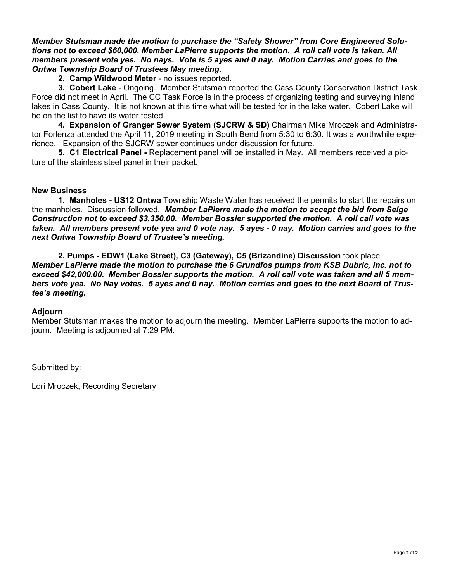*Member Stutsman made the motion to purchase the "Safety Shower" from Core Engineered Solutions not to exceed \$60,000. Member LaPierre supports the motion. A roll call vote is taken. All members present vote yes. No nays. Vote is 5 ayes and 0 nay. Motion Carries and goes to the Ontwa Township Board of Trustees May meeting.* 

#### **2. Camp Wildwood Meter** - no issues reported.

**3. Cobert Lake** - Ongoing. Member Stutsman reported the Cass County Conservation District Task Force did not meet in April. The CC Task Force is in the process of organizing testing and surveying inland lakes in Cass County. It is not known at this time what will be tested for in the lake water. Cobert Lake will be on the list to have its water tested.

**4. Expansion of Granger Sewer System (SJCRW & SD)** Chairman Mike Mroczek and Administrator Forlenza attended the April 11, 2019 meeting in South Bend from 5:30 to 6:30. It was a worthwhile experience. Expansion of the SJCRW sewer continues under discussion for future.

**5. C1 Electrical Panel -** Replacement panel will be installed in May. All members received a picture of the stainless steel panel in their packet.

#### **New Business**

**1. Manholes - US12 Ontwa** Township Waste Water has received the permits to start the repairs on the manholes. Discussion followed. *Member LaPierre made the motion to accept the bid from Selge Construction not to exceed \$3,350.00. Member Bossler supported the motion. A roll call vote was taken. All members present vote yea and 0 vote nay. 5 ayes - 0 nay. Motion carries and goes to the next Ontwa Township Board of Trustee's meeting.* 

**2. Pumps - EDW1 (Lake Street), C3 (Gateway), C5 (Brizandine) Discussion** took place. *Member LaPierre made the motion to purchase the 6 Grundfos pumps from KSB Dubric, Inc. not to exceed \$42,000.00. Member Bossler supports the motion. A roll call vote was taken and all 5 members vote yea. No Nay votes. 5 ayes and 0 nay. Motion carries and goes to the next Board of Trustee's meeting.* 

#### **Adjourn**

Member Stutsman makes the motion to adjourn the meeting. Member LaPierre supports the motion to adjourn. Meeting is adjourned at 7:29 PM.

Submitted by: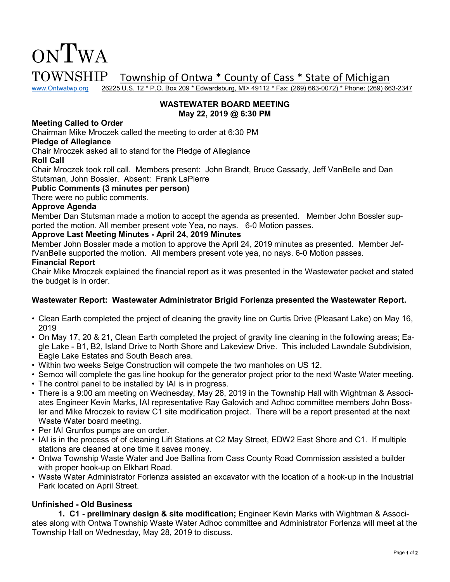

www.Ontwatwp.org 26225 U.S. 12 \* P.O. Box 209 \* Edwardsburg, MI> 49112 \* Fax: (269) 663-0072) \* Phone: (269) 663-2347

#### **WASTEWATER BOARD MEETING May 22, 2019 @ 6:30 PM**

#### **Meeting Called to Order**

Chairman Mike Mroczek called the meeting to order at 6:30 PM

#### **Pledge of Allegiance**

Chair Mroczek asked all to stand for the Pledge of Allegiance

#### **Roll Call**

Chair Mroczek took roll call. Members present: John Brandt, Bruce Cassady, Jeff VanBelle and Dan Stutsman, John Bossler. Absent: Frank LaPierre

#### **Public Comments (3 minutes per person)**

There were no public comments.

#### **Approve Agenda**

Member Dan Stutsman made a motion to accept the agenda as presented. Member John Bossler supported the motion. All member present vote Yea, no nays. 6-0 Motion passes.

#### **Approve Last Meeting Minutes - April 24, 2019 Minutes**

Member John Bossler made a motion to approve the April 24, 2019 minutes as presented. Member JeffVanBelle supported the motion. All members present vote yea, no nays. 6-0 Motion passes.

#### **Financial Report**

Chair Mike Mroczek explained the financial report as it was presented in the Wastewater packet and stated the budget is in order.

#### **Wastewater Report: Wastewater Administrator Brigid Forlenza presented the Wastewater Report.**

- Clean Earth completed the project of cleaning the gravity line on Curtis Drive (Pleasant Lake) on May 16, 2019
- On May 17, 20 & 21, Clean Earth completed the project of gravity line cleaning in the following areas; Eagle Lake - B1, B2, Island Drive to North Shore and Lakeview Drive. This included Lawndale Subdivision, Eagle Lake Estates and South Beach area.
- Within two weeks Selge Construction will compete the two manholes on US 12.
- Semco will complete the gas line hookup for the generator project prior to the next Waste Water meeting.
- The control panel to be installed by IAI is in progress.
- There is a 9:00 am meeting on Wednesday, May 28, 2019 in the Township Hall with Wightman & Associates Engineer Kevin Marks, IAI representative Ray Galovich and Adhoc committee members John Bossler and Mike Mroczek to review C1 site modification project. There will be a report presented at the next Waste Water board meeting.
- Per IAI Grunfos pumps are on order.
- IAI is in the process of of cleaning Lift Stations at C2 May Street, EDW2 East Shore and C1. If multiple stations are cleaned at one time it saves money.
- Ontwa Township Waste Water and Joe Ballina from Cass County Road Commission assisted a builder with proper hook-up on Elkhart Road.
- Waste Water Administrator Forlenza assisted an excavator with the location of a hook-up in the Industrial Park located on April Street.

#### **Unfinished - Old Business**

 **1. C1 - preliminary design & site modification;** Engineer Kevin Marks with Wightman & Associates along with Ontwa Township Waste Water Adhoc committee and Administrator Forlenza will meet at the Township Hall on Wednesday, May 28, 2019 to discuss.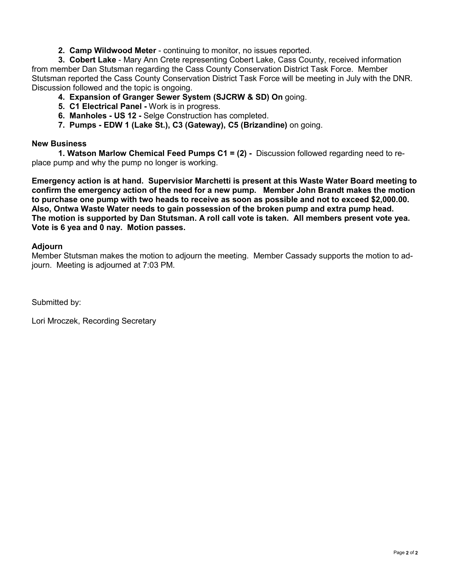**2. Camp Wildwood Meter** - continuing to monitor, no issues reported.

**3. Cobert Lake** - Mary Ann Crete representing Cobert Lake, Cass County, received information from member Dan Stutsman regarding the Cass County Conservation District Task Force. Member Stutsman reported the Cass County Conservation District Task Force will be meeting in July with the DNR. Discussion followed and the topic is ongoing.

**4. Expansion of Granger Sewer System (SJCRW & SD) On** going.

- **5. C1 Electrical Panel** Work is in progress.
- **6. Manholes US 12** Selge Construction has completed.
- **7. Pumps EDW 1 (Lake St.), C3 (Gateway), C5 (Brizandine)** on going.

#### **New Business**

**1. Watson Marlow Chemical Feed Pumps C1 = (2) -** Discussion followed regarding need to replace pump and why the pump no longer is working.

**Emergency action is at hand. Supervisior Marchetti is present at this Waste Water Board meeting to confirm the emergency action of the need for a new pump. Member John Brandt makes the motion to purchase one pump with two heads to receive as soon as possible and not to exceed \$2,000.00. Also, Ontwa Waste Water needs to gain possession of the broken pump and extra pump head. The motion is supported by Dan Stutsman. A roll call vote is taken. All members present vote yea. Vote is 6 yea and 0 nay. Motion passes.** 

#### **Adjourn**

Member Stutsman makes the motion to adjourn the meeting. Member Cassady supports the motion to adjourn. Meeting is adjourned at 7:03 PM.

Submitted by: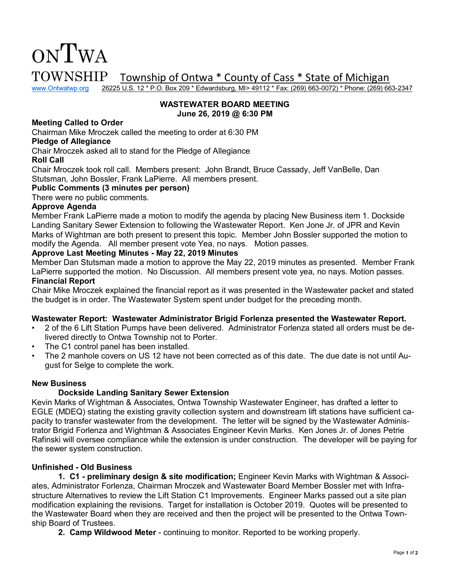

www.Ontwatwp.org 26225 U.S. 12 \* P.O. Box 209 \* Edwardsburg, MI> 49112 \* Fax: (269) 663-0072) \* Phone: (269) 663-2347

#### **WASTEWATER BOARD MEETING June 26, 2019 @ 6:30 PM**

#### **Meeting Called to Order**

Chairman Mike Mroczek called the meeting to order at 6:30 PM

#### **Pledge of Allegiance**

Chair Mroczek asked all to stand for the Pledge of Allegiance

#### **Roll Call**

Chair Mroczek took roll call. Members present: John Brandt, Bruce Cassady, Jeff VanBelle, Dan Stutsman, John Bossler, Frank LaPierre. All members present.

#### **Public Comments (3 minutes per person)**

There were no public comments.

#### **Approve Agenda**

Member Frank LaPierre made a motion to modify the agenda by placing New Business item 1. Dockside Landing Sanitary Sewer Extension to following the Wastewater Report. Ken Jone Jr. of JPR and Kevin Marks of Wightman are both present to present this topic. Member John Bossler supported the motion to modify the Agenda. All member present vote Yea, no nays. Motion passes.

#### **Approve Last Meeting Minutes - May 22, 2019 Minutes**

Member Dan Stutsman made a motion to approve the May 22, 2019 minutes as presented. Member Frank LaPierre supported the motion. No Discussion. All members present vote yea, no nays. Motion passes. **Financial Report** 

Chair Mike Mroczek explained the financial report as it was presented in the Wastewater packet and stated the budget is in order. The Wastewater System spent under budget for the preceding month.

#### **Wastewater Report: Wastewater Administrator Brigid Forlenza presented the Wastewater Report.**

- 2 of the 6 Lift Station Pumps have been delivered. Administrator Forlenza stated all orders must be delivered directly to Ontwa Township not to Porter.
- The C1 control panel has been installed.
- The 2 manhole covers on US 12 have not been corrected as of this date. The due date is not until August for Selge to complete the work.

#### **New Business**

#### **Dockside Landing Sanitary Sewer Extension**

Kevin Marks of Wightman & Associates, Ontwa Township Wastewater Engineer, has drafted a letter to EGLE (MDEQ) stating the existing gravity collection system and downstream lift stations have sufficient capacity to transfer wastewater from the development. The letter will be signed by the Wastewater Administrator Brigid Forlenza and Wightman & Associates Engineer Kevin Marks. Ken Jones Jr. of Jones Petrie Rafinski will oversee compliance while the extension is under construction. The developer will be paying for the sewer system construction.

#### **Unfinished - Old Business**

 **1. C1 - preliminary design & site modification;** Engineer Kevin Marks with Wightman & Associates, Administrator Forlenza, Chairman Mroczek and Wastewater Board Member Bossler met with Infrastructure Alternatives to review the Lift Station C1 Improvements. Engineer Marks passed out a site plan modification explaining the revisions. Target for installation is October 2019. Quotes will be presented to the Wastewater Board when they are received and then the project will be presented to the Ontwa Township Board of Trustees.

**2. Camp Wildwood Meter** - continuing to monitor. Reported to be working properly.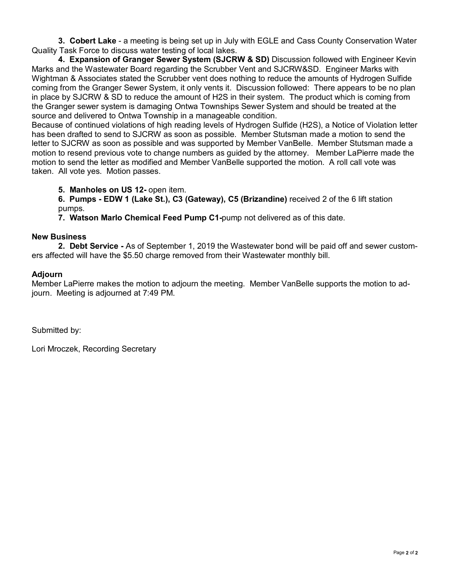**3. Cobert Lake** - a meeting is being set up in July with EGLE and Cass County Conservation Water Quality Task Force to discuss water testing of local lakes.

 **4. Expansion of Granger Sewer System (SJCRW & SD)** Discussion followed with Engineer Kevin Marks and the Wastewater Board regarding the Scrubber Vent and SJCRW&SD. Engineer Marks with Wightman & Associates stated the Scrubber vent does nothing to reduce the amounts of Hydrogen Sulfide coming from the Granger Sewer System, it only vents it. Discussion followed: There appears to be no plan in place by SJCRW & SD to reduce the amount of H2S in their system. The product which is coming from the Granger sewer system is damaging Ontwa Townships Sewer System and should be treated at the source and delivered to Ontwa Township in a manageable condition.

Because of continued violations of high reading levels of Hydrogen Sulfide (H2S), a Notice of Violation letter has been drafted to send to SJCRW as soon as possible. Member Stutsman made a motion to send the letter to SJCRW as soon as possible and was supported by Member VanBelle. Member Stutsman made a motion to resend previous vote to change numbers as guided by the attorney. Member LaPierre made the motion to send the letter as modified and Member VanBelle supported the motion. A roll call vote was taken. All vote yes. Motion passes.

**5. Manholes on US 12-** open item.

**6. Pumps - EDW 1 (Lake St.), C3 (Gateway), C5 (Brizandine)** received 2 of the 6 lift station pumps.

**7. Watson Marlo Chemical Feed Pump C1-**pump not delivered as of this date.

#### **New Business**

**2. Debt Service -** As of September 1, 2019 the Wastewater bond will be paid off and sewer customers affected will have the \$5.50 charge removed from their Wastewater monthly bill.

#### **Adjourn**

Member LaPierre makes the motion to adjourn the meeting. Member VanBelle supports the motion to adjourn. Meeting is adjourned at 7:49 PM.

Submitted by: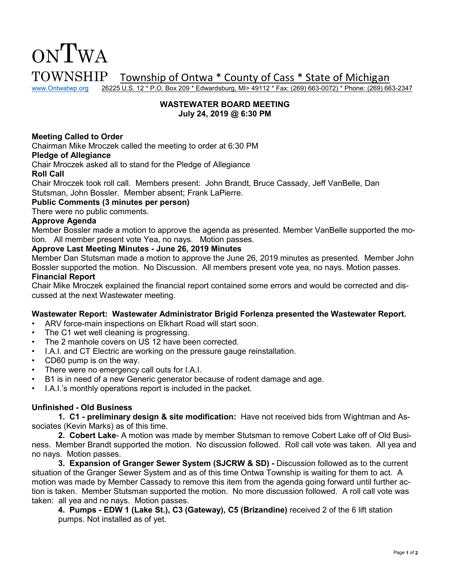www.Ontwatwp.org 26225 U.S. 12 \* P.O. Box 209 \* Edwardsburg, MI> 49112 \* Fax: (269) 663-0072) \* Phone: (269) 663-2347

#### **WASTEWATER BOARD MEETING July 24, 2019 @ 6:30 PM**

#### **Meeting Called to Order**

Chairman Mike Mroczek called the meeting to order at 6:30 PM

#### **Pledge of Allegiance**

Chair Mroczek asked all to stand for the Pledge of Allegiance

#### **Roll Call**

Chair Mroczek took roll call. Members present: John Brandt, Bruce Cassady, Jeff VanBelle, Dan Stutsman, John Bossler. Member absent; Frank LaPierre.

#### **Public Comments (3 minutes per person)**

There were no public comments.

#### **Approve Agenda**

Member Bossler made a motion to approve the agenda as presented. Member VanBelle supported the motion. All member present vote Yea, no nays. Motion passes.

#### **Approve Last Meeting Minutes - June 26, 2019 Minutes**

Member Dan Stutsman made a motion to approve the June 26, 2019 minutes as presented. Member John Bossler supported the motion. No Discussion. All members present vote yea, no nays. Motion passes. **Financial Report** 

#### Chair Mike Mroczek explained the financial report contained some errors and would be corrected and discussed at the next Wastewater meeting.

#### **Wastewater Report: Wastewater Administrator Brigid Forlenza presented the Wastewater Report.**

- ARV force-main inspections on Elkhart Road will start soon.
- The C1 wet well cleaning is progressing.
- The 2 manhole covers on US 12 have been corrected.
- I.A.I. and CT Electric are working on the pressure gauge reinstallation.
- CD60 pump is on the way.
- There were no emergency call outs for I.A.I.
- B1 is in need of a new Generic generator because of rodent damage and age.
- I.A.I.'s monthly operations report is included in the packet.

#### **Unfinished - Old Business**

 **1. C1 - preliminary design & site modification:** Have not received bids from Wightman and Associates (Kevin Marks) as of this time.

**2. Cobert Lake**- A motion was made by member Stutsman to remove Cobert Lake off of Old Business. Member Brandt supported the motion. No discussion followed. Roll call vote was taken. All yea and no nays. Motion passes.

**3. Expansion of Granger Sewer System (SJCRW & SD) -** Discussion followed as to the current situation of the Granger Sewer System and as of this time Ontwa Township is waiting for them to act. A motion was made by Member Cassady to remove this item from the agenda going forward until further action is taken. Member Stutsman supported the motion. No more discussion followed. A roll call vote was taken: all yea and no nays. Motion passes.

**4. Pumps - EDW 1 (Lake St.), C3 (Gateway), C5 (Brizandine)** received 2 of the 6 lift station pumps. Not installed as of yet.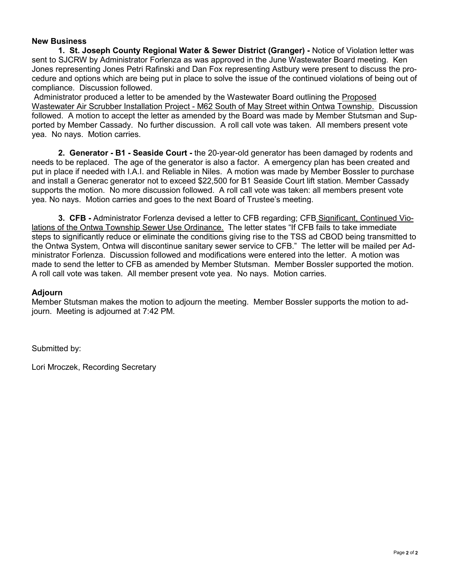**1. St. Joseph County Regional Water & Sewer District (Granger) -** Notice of Violation letter was sent to SJCRW by Administrator Forlenza as was approved in the June Wastewater Board meeting. Ken Jones representing Jones Petri Rafinski and Dan Fox representing Astbury were present to discuss the procedure and options which are being put in place to solve the issue of the continued violations of being out of compliance. Discussion followed.

 Administrator produced a letter to be amended by the Wastewater Board outlining the Proposed Wastewater Air Scrubber Installation Project - M62 South of May Street within Ontwa Township. Discussion followed. A motion to accept the letter as amended by the Board was made by Member Stutsman and Supported by Member Cassady. No further discussion. A roll call vote was taken. All members present vote yea. No nays. Motion carries.

**2. Generator - B1 - Seaside Court -** the 20-year-old generator has been damaged by rodents and needs to be replaced. The age of the generator is also a factor. A emergency plan has been created and put in place if needed with I.A.I. and Reliable in Niles. A motion was made by Member Bossler to purchase and install a Generac generator not to exceed \$22,500 for B1 Seaside Court lift station. Member Cassady supports the motion. No more discussion followed. A roll call vote was taken: all members present vote yea. No nays. Motion carries and goes to the next Board of Trustee's meeting.

**3. CFB -** Administrator Forlenza devised a letter to CFB regarding; CFB Significant, Continued Violations of the Ontwa Township Sewer Use Ordinance. The letter states "If CFB fails to take immediate steps to significantly reduce or eliminate the conditions giving rise to the TSS ad CBOD being transmitted to the Ontwa System, Ontwa will discontinue sanitary sewer service to CFB." The letter will be mailed per Administrator Forlenza. Discussion followed and modifications were entered into the letter. A motion was made to send the letter to CFB as amended by Member Stutsman. Member Bossler supported the motion. A roll call vote was taken. All member present vote yea. No nays. Motion carries.

#### **Adjourn**

Member Stutsman makes the motion to adjourn the meeting. Member Bossler supports the motion to adjourn. Meeting is adjourned at 7:42 PM.

Submitted by: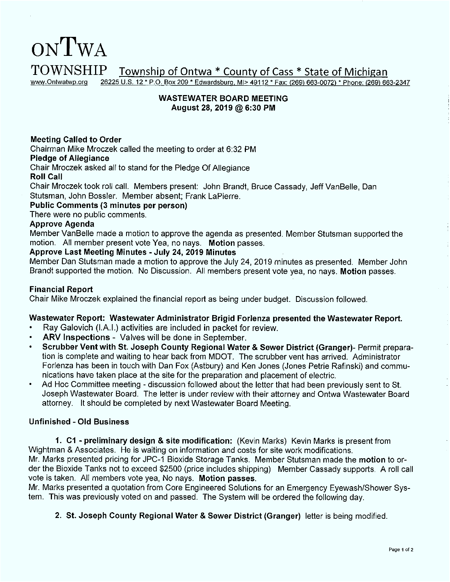#### ONTWA **TOWNSHIP** Township of Ontwa \* County of Cass \* State of Michigan 26225 U.S. 12 \* P.O. Box 209 \* Edwardsburg, MI> 49112 \* Fax: (269) 663-0072) \* Phone: (269) 663-2347 www.Ontwatwp.org

#### **WASTEWATER BOARD MEETING** August 28, 2019 @ 6:30 PM

#### **Meeting Called to Order**

Chairman Mike Mroczek called the meeting to order at 6:32 PM

#### **Pledge of Allegiance**

Chair Mroczek asked all to stand for the Pledge Of Allegiance

#### **Roll Call**

Chair Mroczek took roll call. Members present: John Brandt, Bruce Cassady, Jeff VanBelle, Dan Stutsman, John Bossler. Member absent: Frank LaPierre.

#### Public Comments (3 minutes per person)

There were no public comments.

#### **Approve Agenda**

Member VanBelle made a motion to approve the agenda as presented. Member Stutsman supported the motion. All member present vote Yea, no nays. Motion passes.

#### Approve Last Meeting Minutes - July 24, 2019 Minutes

Member Dan Stutsman made a motion to approve the July 24, 2019 minutes as presented. Member John Brandt supported the motion. No Discussion. All members present vote yea, no nays. Motion passes.

#### **Financial Report**

Chair Mike Mroczek explained the financial report as being under budget. Discussion followed.

#### Wastewater Report: Wastewater Administrator Brigid Forlenza presented the Wastewater Report.

- Ray Galovich (I.A.I.) activities are included in packet for review.
- ARV Inspections Valves will be done in September.
- Scrubber Vent with St. Joseph County Regional Water & Sewer District (Granger)- Permit preparation is complete and waiting to hear back from MDOT. The scrubber vent has arrived. Administrator Forlenza has been in touch with Dan Fox (Astbury) and Ken Jones (Jones Petrie Rafinski) and communications have taken place at the site for the preparation and placement of electric.
- Ad Hoc Committee meeting discussion followed about the letter that had been previously sent to St. Joseph Wastewater Board. The letter is under review with their attorney and Ontwa Wastewater Board attorney. It should be completed by next Wastewater Board Meeting.

#### **Unfinished - Old Business**

1. C1 - preliminary design & site modification: (Kevin Marks) Kevin Marks is present from Wightman & Associates. He is waiting on information and costs for site work modifications.

Mr. Marks presented pricing for JPC-1 Bioxide Storage Tanks. Member Stutsman made the motion to order the Bioxide Tanks not to exceed \$2500 (price includes shipping) Member Cassady supports. A roll call vote is taken. All members vote yea, No nays. Motion passes.

Mr. Marks presented a quotation from Core Engineered Solutions for an Emergency Eyewash/Shower System. This was previously voted on and passed. The System will be ordered the following day.

#### 2. St. Joseph County Regional Water & Sewer District (Granger) letter is being modified.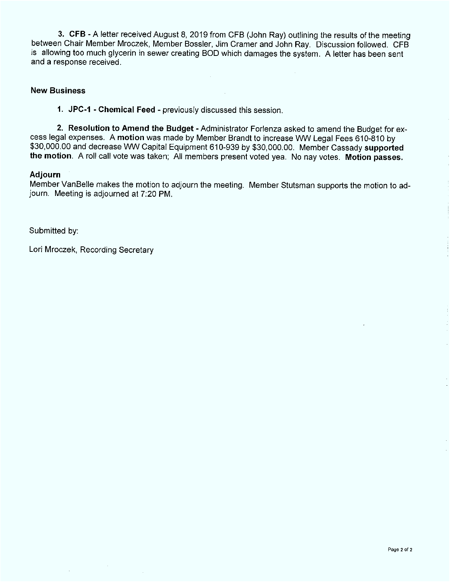3. CFB - A letter received August 8, 2019 from CFB (John Ray) outlining the results of the meeting between Chair Member Mroczek, Member Bossler, Jim Cramer and John Ray. Discussion followed. CFB is allowing too much glycerin in sewer creating BOD which damages the system. A letter has been sent and a response received.

#### **New Business**

1. JPC-1 - Chemical Feed - previously discussed this session.

2. Resolution to Amend the Budget - Administrator Forlenza asked to amend the Budget for excess legal expenses. A motion was made by Member Brandt to increase WW Legal Fees 610-810 by \$30,000.00 and decrease WW Capital Equipment 610-939 by \$30,000.00. Member Cassady supported the motion. A roll call vote was taken; All members present voted yea. No nay votes. Motion passes.

#### Adjourn

Member VanBelle makes the motion to adjourn the meeting. Member Stutsman supports the motion to adjourn. Meeting is adjourned at 7:20 PM.

Submitted by: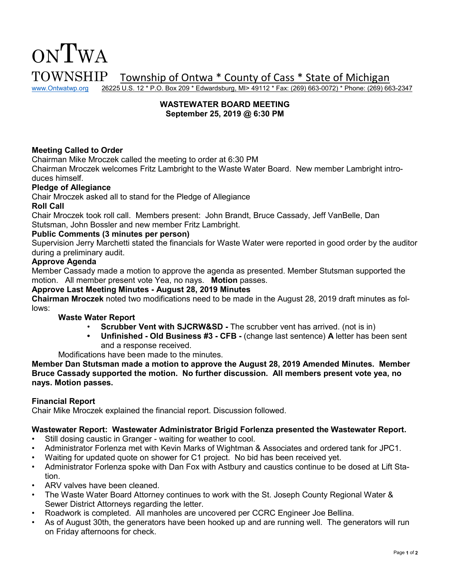www.Ontwatwp.org 26225 U.S. 12 \* P.O. Box 209 \* Edwardsburg, MI> 49112 \* Fax: (269) 663-0072) \* Phone: (269) 663-2347

#### **WASTEWATER BOARD MEETING September 25, 2019 @ 6:30 PM**

#### **Meeting Called to Order**

Chairman Mike Mroczek called the meeting to order at 6:30 PM

Chairman Mroczek welcomes Fritz Lambright to the Waste Water Board. New member Lambright introduces himself.

#### **Pledge of Allegiance**

Chair Mroczek asked all to stand for the Pledge of Allegiance

#### **Roll Call**

Chair Mroczek took roll call. Members present: John Brandt, Bruce Cassady, Jeff VanBelle, Dan Stutsman, John Bossler and new member Fritz Lambright.

#### **Public Comments (3 minutes per person)**

Supervision Jerry Marchetti stated the financials for Waste Water were reported in good order by the auditor during a preliminary audit.

#### **Approve Agenda**

Member Cassady made a motion to approve the agenda as presented. Member Stutsman supported the motion. All member present vote Yea, no nays. **Motion** passes.

#### **Approve Last Meeting Minutes - August 28, 2019 Minutes**

**Chairman Mroczek** noted two modifications need to be made in the August 28, 2019 draft minutes as follows:

#### **Waste Water Report**

- **Scrubber Vent with SJCRW&SD The scrubber vent has arrived. (not is in)**
- **• Unfinished Old Business #3 CFB** (change last sentence) **A** letter has been sent and a response received.

Modifications have been made to the minutes.

**Member Dan Stutsman made a motion to approve the August 28, 2019 Amended Minutes. Member Bruce Cassady supported the motion. No further discussion. All members present vote yea, no nays. Motion passes.** 

#### **Financial Report**

Chair Mike Mroczek explained the financial report. Discussion followed.

#### **Wastewater Report: Wastewater Administrator Brigid Forlenza presented the Wastewater Report.**

- Still dosing caustic in Granger waiting for weather to cool.
- Administrator Forlenza met with Kevin Marks of Wightman & Associates and ordered tank for JPC1.
- Waiting for updated quote on shower for C1 project. No bid has been received yet.
- Administrator Forlenza spoke with Dan Fox with Astbury and caustics continue to be dosed at Lift Station.
- ARV valves have been cleaned.
- The Waste Water Board Attorney continues to work with the St. Joseph County Regional Water & Sewer District Attorneys regarding the letter.
- Roadwork is completed. All manholes are uncovered per CCRC Engineer Joe Bellina.
- As of August 30th, the generators have been hooked up and are running well. The generators will run on Friday afternoons for check.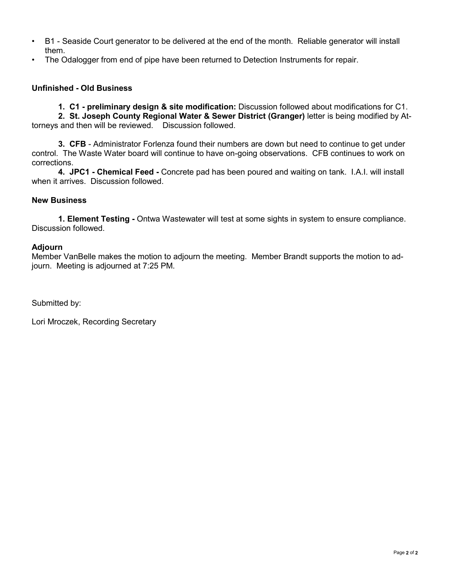- B1 Seaside Court generator to be delivered at the end of the month. Reliable generator will install them.
- The Odalogger from end of pipe have been returned to Detection Instruments for repair.

#### **Unfinished - Old Business**

 **1. C1 - preliminary design & site modification:** Discussion followed about modifications for C1. **2. St. Joseph County Regional Water & Sewer District (Granger)** letter is being modified by Attorneys and then will be reviewed. Discussion followed.

**3. CFB** - Administrator Forlenza found their numbers are down but need to continue to get under control. The Waste Water board will continue to have on-going observations. CFB continues to work on corrections.

**4. JPC1 - Chemical Feed -** Concrete pad has been poured and waiting on tank. I.A.I. will install when it arrives. Discussion followed.

#### **New Business**

**1. Element Testing -** Ontwa Wastewater will test at some sights in system to ensure compliance. Discussion followed.

#### **Adjourn**

Member VanBelle makes the motion to adjourn the meeting. Member Brandt supports the motion to adjourn. Meeting is adjourned at 7:25 PM.

Submitted by: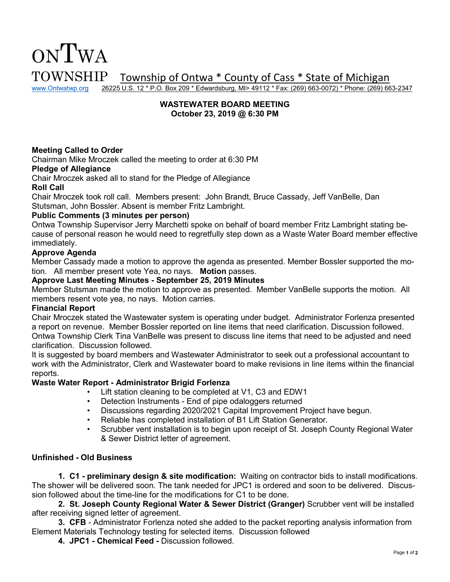

www.Ontwatwp.org 26225 U.S. 12 \* P.O. Box 209 \* Edwardsburg, MI> 49112 \* Fax: (269) 663-0072) \* Phone: (269) 663-2347

#### **WASTEWATER BOARD MEETING October 23, 2019 @ 6:30 PM**

#### **Meeting Called to Order**

Chairman Mike Mroczek called the meeting to order at 6:30 PM

#### **Pledge of Allegiance**

Chair Mroczek asked all to stand for the Pledge of Allegiance

#### **Roll Call**

Chair Mroczek took roll call. Members present: John Brandt, Bruce Cassady, Jeff VanBelle, Dan Stutsman, John Bossler. Absent is member Fritz Lambright.

#### **Public Comments (3 minutes per person)**

Ontwa Township Supervisor Jerry Marchetti spoke on behalf of board member Fritz Lambright stating because of personal reason he would need to regretfully step down as a Waste Water Board member effective immediately.

#### **Approve Agenda**

Member Cassady made a motion to approve the agenda as presented. Member Bossler supported the motion. All member present vote Yea, no nays. **Motion** passes.

#### **Approve Last Meeting Minutes - September 25, 2019 Minutes**

Member Stutsman made the motion to approve as presented. Member VanBelle supports the motion. All members resent vote yea, no nays. Motion carries.

#### **Financial Report**

Chair Mroczek stated the Wastewater system is operating under budget. Administrator Forlenza presented a report on revenue. Member Bossler reported on line items that need clarification. Discussion followed. Ontwa Township Clerk Tina VanBelle was present to discuss line items that need to be adjusted and need clarification. Discussion followed.

It is suggested by board members and Wastewater Administrator to seek out a professional accountant to work with the Administrator, Clerk and Wastewater board to make revisions in line items within the financial reports.

#### **Waste Water Report - Administrator Brigid Forlenza**

- Lift station cleaning to be completed at V1, C3 and EDW1
- Detection Instruments End of pipe odaloggers returned
- Discussions regarding 2020/2021 Capital Improvement Project have begun.
- Reliable has completed installation of B1 Lift Station Generator.
- Scrubber vent installation is to begin upon receipt of St. Joseph County Regional Water & Sewer District letter of agreement.

#### **Unfinished - Old Business**

 **1. C1 - preliminary design & site modification:** Waiting on contractor bids to install modifications. The shower will be delivered soon. The tank needed for JPC1 is ordered and soon to be delivered. Discussion followed about the time-line for the modifications for C1 to be done.

**2. St. Joseph County Regional Water & Sewer District (Granger)** Scrubber vent will be installed after receiving signed letter of agreement.

**3. CFB** - Administrator Forlenza noted she added to the packet reporting analysis information from Element Materials Technology testing for selected items. Discussion followed

**4. JPC1 - Chemical Feed -** Discussion followed.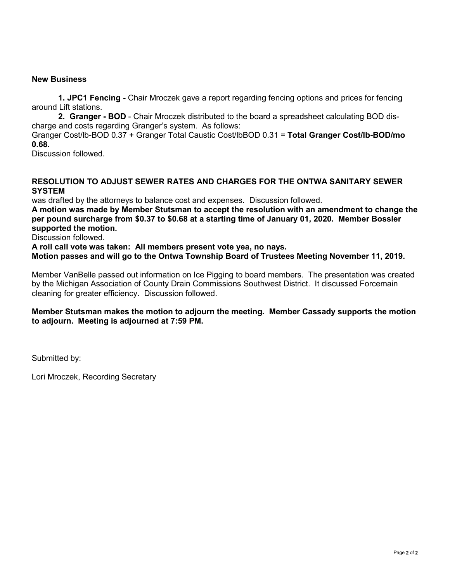**1. JPC1 Fencing -** Chair Mroczek gave a report regarding fencing options and prices for fencing around Lift stations.

**2. Granger - BOD** - Chair Mroczek distributed to the board a spreadsheet calculating BOD discharge and costs regarding Granger's system. As follows:

Granger Cost/lb-BOD 0.37 + Granger Total Caustic Cost/lbBOD 0.31 = **Total Granger Cost/lb-BOD/mo 0.68.** 

Discussion followed.

#### **RESOLUTION TO ADJUST SEWER RATES AND CHARGES FOR THE ONTWA SANITARY SEWER SYSTEM**

was drafted by the attorneys to balance cost and expenses. Discussion followed.

**A motion was made by Member Stutsman to accept the resolution with an amendment to change the per pound surcharge from \$0.37 to \$0.68 at a starting time of January 01, 2020. Member Bossler supported the motion.** 

Discussion followed.

**A roll call vote was taken: All members present vote yea, no nays.** 

**Motion passes and will go to the Ontwa Township Board of Trustees Meeting November 11, 2019.** 

Member VanBelle passed out information on Ice Pigging to board members. The presentation was created by the Michigan Association of County Drain Commissions Southwest District. It discussed Forcemain cleaning for greater efficiency. Discussion followed.

**Member Stutsman makes the motion to adjourn the meeting. Member Cassady supports the motion to adjourn. Meeting is adjourned at 7:59 PM.** 

Submitted by: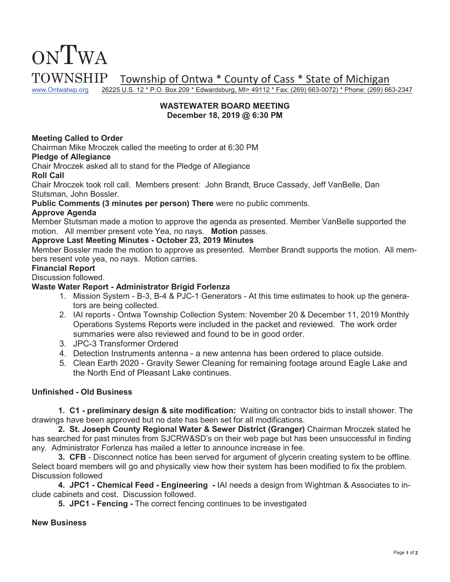# ONTWA

TOWNSHIP Township of Ontwa \* County of Cass \* State of Michigan<br>www.Ontwatwp.org 26225 U.S. 12 \* P.O. Box 209 \* Edwardsburg, MI> 49112 \* Fax: (269) 663-0072) \* Phone: (269) 66

26225 U.S. 12 \* P.O. Box 209 \* Edwardsburg, MI> 49112 \* Fax: (269) 663-0072) \* Phone: (269) 663-2347

#### **WASTEWATER BOARD MEETING December 18, 2019 @ 6:30 PM**

#### **Meeting Called to Order**

Chairman Mike Mroczek called the meeting to order at 6:30 PM

#### **Pledge of Allegiance**

Chair Mroczek asked all to stand for the Pledge of Allegiance

#### **Roll Call**

Chair Mroczek took roll call. Members present: John Brandt, Bruce Cassady, Jeff VanBelle, Dan Stutsman, John Bossler.

**Public Comments (3 minutes per person) There** were no public comments.

#### **Approve Agenda**

Member Stutsman made a motion to approve the agenda as presented. Member VanBelle supported the motion. All member present vote Yea, no nays. **Motion** passes.

#### **Approve Last Meeting Minutes - October 23, 2019 Minutes**

Member Bossler made the motion to approve as presented. Member Brandt supports the motion. All members resent vote yea, no nays. Motion carries.

#### **Financial Report**

#### Discussion followed.

#### **Waste Water Report - Administrator Brigid Forlenza**

- 1. Mission System B-3, B-4 & PJC-1 Generators At this time estimates to hook up the generators are being collected.
- 2. IAI reports Ontwa Township Collection System: November 20 & December 11, 2019 Monthly Operations Systems Reports were included in the packet and reviewed. The work order summaries were also reviewed and found to be in good order.
- 3. JPC-3 Transformer Ordered
- 4. Detection Instruments antenna a new antenna has been ordered to place outside.
- 5. Clean Earth 2020 Gravity Sewer Cleaning for remaining footage around Eagle Lake and the North End of Pleasant Lake continues.

#### **Unfinished - Old Business**

 **1. C1 - preliminary design & site modification:** Waiting on contractor bids to install shower. The drawings have been approved but no date has been set for all modifications.

**2. St. Joseph County Regional Water & Sewer District (Granger)** Chairman Mroczek stated he has searched for past minutes from SJCRW&SD's on their web page but has been unsuccessful in finding any. Administrator Forlenza has mailed a letter to announce increase in fee.

**3. CFB** - Disconnect notice has been served for argument of glycerin creating system to be offline. Select board members will go and physically view how their system has been modified to fix the problem. Discussion followed

**4. JPC1 - Chemical Feed - Engineering -** IAI needs a design from Wightman & Associates to include cabinets and cost. Discussion followed.

**5. JPC1 - Fencing -** The correct fencing continues to be investigated

#### **New Business**